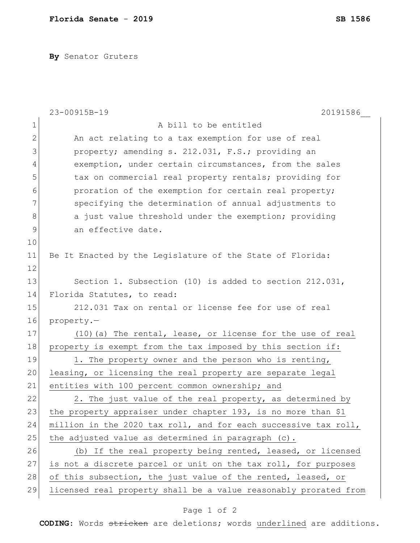**By** Senator Gruters

|                | 23-00915B-19<br>20191586                                         |
|----------------|------------------------------------------------------------------|
| 1              | A bill to be entitled                                            |
| $\mathbf{2}$   | An act relating to a tax exemption for use of real               |
| 3              | property; amending s. 212.031, F.S.; providing an                |
| $\overline{4}$ | exemption, under certain circumstances, from the sales           |
| 5              | tax on commercial real property rentals; providing for           |
| 6              | proration of the exemption for certain real property;            |
| 7              | specifying the determination of annual adjustments to            |
| 8              | a just value threshold under the exemption; providing            |
| $\mathcal{G}$  | an effective date.                                               |
| 10             |                                                                  |
| 11             | Be It Enacted by the Legislature of the State of Florida:        |
| 12             |                                                                  |
| 13             | Section 1. Subsection (10) is added to section 212.031,          |
| 14             | Florida Statutes, to read:                                       |
| 15             | 212.031 Tax on rental or license fee for use of real             |
| 16             | property.-                                                       |
| 17             | (10) (a) The rental, lease, or license for the use of real       |
| 18             | property is exempt from the tax imposed by this section if:      |
| 19             | 1. The property owner and the person who is renting,             |
| 20             | leasing, or licensing the real property are separate legal       |
| 21             | entities with 100 percent common ownership; and                  |
| 22             | 2. The just value of the real property, as determined by         |
| 23             | the property appraiser under chapter 193, is no more than \$1    |
| 24             | million in the 2020 tax roll, and for each successive tax roll,  |
| 25             | the adjusted value as determined in paragraph (c).               |
| 26             | (b) If the real property being rented, leased, or licensed       |
| 27             | is not a discrete parcel or unit on the tax roll, for purposes   |
| 28             | of this subsection, the just value of the rented, leased, or     |
| 29             | licensed real property shall be a value reasonably prorated from |

## Page 1 of 2

**CODING**: Words stricken are deletions; words underlined are additions.